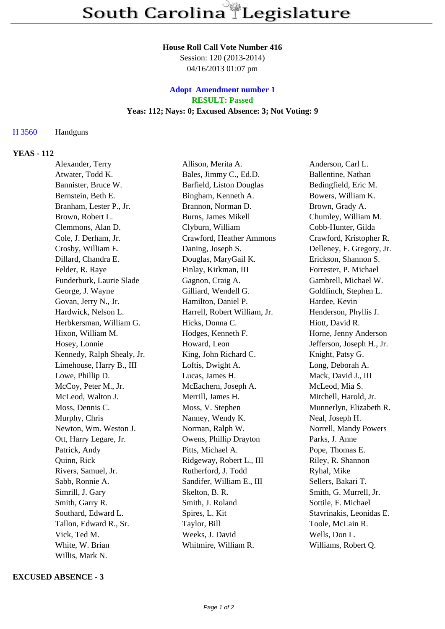#### **House Roll Call Vote Number 416**

Session: 120 (2013-2014) 04/16/2013 01:07 pm

# **Adopt Amendment number 1 RESULT: Passed Yeas: 112; Nays: 0; Excused Absence: 3; Not Voting: 9**

## H 3560 Handguns

## **YEAS - 112**

| Alexander, Terry           | Allison, Merita A.           | Anderson, Carl L.         |
|----------------------------|------------------------------|---------------------------|
| Atwater, Todd K.           | Bales, Jimmy C., Ed.D.       | Ballentine, Nathan        |
| Bannister, Bruce W.        | Barfield, Liston Douglas     | Bedingfield, Eric M.      |
| Bernstein, Beth E.         | Bingham, Kenneth A.          | Bowers, William K.        |
| Branham, Lester P., Jr.    | Brannon, Norman D.           | Brown, Grady A.           |
| Brown, Robert L.           | Burns, James Mikell          | Chumley, William M.       |
| Clemmons, Alan D.          | Clyburn, William             | Cobb-Hunter, Gilda        |
| Cole, J. Derham, Jr.       | Crawford, Heather Ammons     | Crawford, Kristopher R.   |
| Crosby, William E.         | Daning, Joseph S.            | Delleney, F. Gregory, Jr. |
| Dillard, Chandra E.        | Douglas, MaryGail K.         | Erickson, Shannon S.      |
| Felder, R. Raye            | Finlay, Kirkman, III         | Forrester, P. Michael     |
| Funderburk, Laurie Slade   | Gagnon, Craig A.             | Gambrell, Michael W.      |
| George, J. Wayne           | Gilliard, Wendell G.         | Goldfinch, Stephen L.     |
| Govan, Jerry N., Jr.       | Hamilton, Daniel P.          | Hardee, Kevin             |
| Hardwick, Nelson L.        | Harrell, Robert William, Jr. | Henderson, Phyllis J.     |
| Herbkersman, William G.    | Hicks, Donna C.              | Hiott, David R.           |
| Hixon, William M.          | Hodges, Kenneth F.           | Horne, Jenny Anderson     |
| Hosey, Lonnie              | Howard, Leon                 | Jefferson, Joseph H., Jr. |
| Kennedy, Ralph Shealy, Jr. | King, John Richard C.        | Knight, Patsy G.          |
| Limehouse, Harry B., III   | Loftis, Dwight A.            | Long, Deborah A.          |
| Lowe, Phillip D.           | Lucas, James H.              | Mack, David J., III       |
| McCoy, Peter M., Jr.       | McEachern, Joseph A.         | McLeod, Mia S.            |
| McLeod, Walton J.          | Merrill, James H.            | Mitchell, Harold, Jr.     |
| Moss, Dennis C.            | Moss, V. Stephen             | Munnerlyn, Elizabeth R.   |
| Murphy, Chris              | Nanney, Wendy K.             | Neal, Joseph H.           |
| Newton, Wm. Weston J.      | Norman, Ralph W.             | Norrell, Mandy Powers     |
| Ott, Harry Legare, Jr.     | Owens, Phillip Drayton       | Parks, J. Anne            |
| Patrick, Andy              | Pitts, Michael A.            | Pope, Thomas E.           |
| Quinn, Rick                | Ridgeway, Robert L., III     | Riley, R. Shannon         |
| Rivers, Samuel, Jr.        | Rutherford, J. Todd          | Ryhal, Mike               |
| Sabb, Ronnie A.            | Sandifer, William E., III    | Sellers, Bakari T.        |
| Simrill, J. Gary           | Skelton, B. R.               | Smith, G. Murrell, Jr.    |
| Smith, Garry R.            | Smith, J. Roland             | Sottile, F. Michael       |
| Southard, Edward L.        | Spires, L. Kit               | Stavrinakis, Leonidas E.  |
| Tallon, Edward R., Sr.     | Taylor, Bill                 | Toole, McLain R.          |
| Vick, Ted M.               | Weeks, J. David              | Wells, Don L.             |
| White, W. Brian            | Whitmire, William R.         | Williams, Robert Q.       |
| Willis, Mark N.            |                              |                           |

### **EXCUSED ABSENCE - 3**